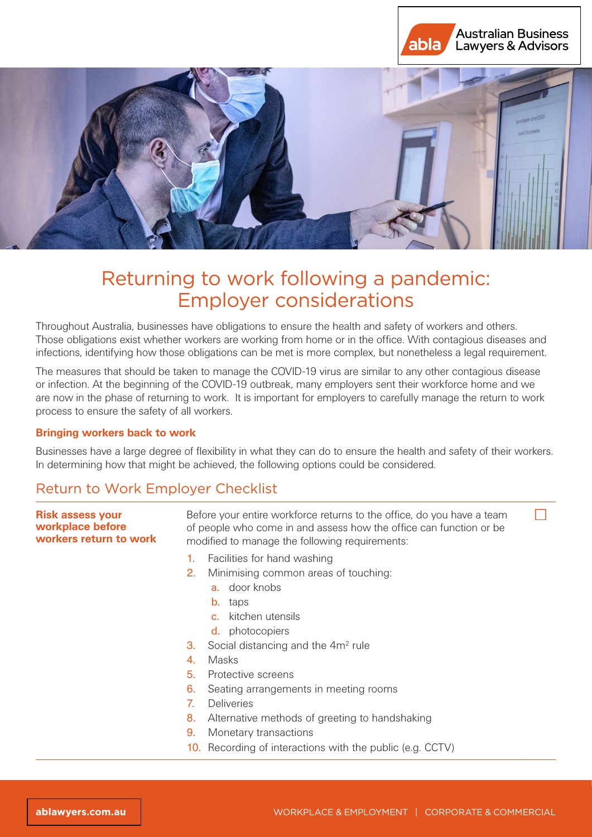



# Returning to work following a pandemic: Employer considerations

Throughout Australia, businesses have obligations to ensure the health and safety of workers and others. Those obligations exist whether workers are working from home or in the office. With contagious diseases and infections, identifying how those obligations can be met is more complex, but nonetheless a legal requirement.

The measures that should be taken to manage the COVID-19 virus are similar to any other contagious disease or infection. At the beginning of the COVID-19 outbreak, many employers sent their workforce home and we are now in the phase of returning to work. It is important for employers to carefully manage the return to work process to ensure the safety of all workers.

## **Bringing workers back to work**

Businesses have a large degree of flexibility in what they can do to ensure the health and safety of their workers. In determining how that might be achieved, the following options could be considered.

# Return to Work Employer Checklist

| <b>Risk assess your</b><br>workplace before<br>workers return to work |    | Before your entire workforce returns to the office, do you have a team<br>of people who come in and assess how the office can function or be<br>modified to manage the following requirements: |  |
|-----------------------------------------------------------------------|----|------------------------------------------------------------------------------------------------------------------------------------------------------------------------------------------------|--|
|                                                                       | 1. | Facilities for hand washing                                                                                                                                                                    |  |
|                                                                       | 2. | Minimising common areas of touching:                                                                                                                                                           |  |
|                                                                       |    | <b>a.</b> door knobs                                                                                                                                                                           |  |
|                                                                       |    | taps<br>$b_{-}$                                                                                                                                                                                |  |
|                                                                       |    | kitchen utensils<br>$C_{\rm{H}}$                                                                                                                                                               |  |
|                                                                       |    | <b>d.</b> photocopiers                                                                                                                                                                         |  |
|                                                                       | З. | Social distancing and the 4m <sup>2</sup> rule                                                                                                                                                 |  |
|                                                                       | 4. | <b>Masks</b>                                                                                                                                                                                   |  |
|                                                                       | 5. | Protective screens                                                                                                                                                                             |  |
|                                                                       | 6. | Seating arrangements in meeting rooms                                                                                                                                                          |  |
|                                                                       | 7. | <b>Deliveries</b>                                                                                                                                                                              |  |
|                                                                       | 8. | Alternative methods of greeting to handshaking                                                                                                                                                 |  |
|                                                                       | 9. | Monetary transactions                                                                                                                                                                          |  |
|                                                                       |    | 10. Recording of interactions with the public (e.g. CCTV)                                                                                                                                      |  |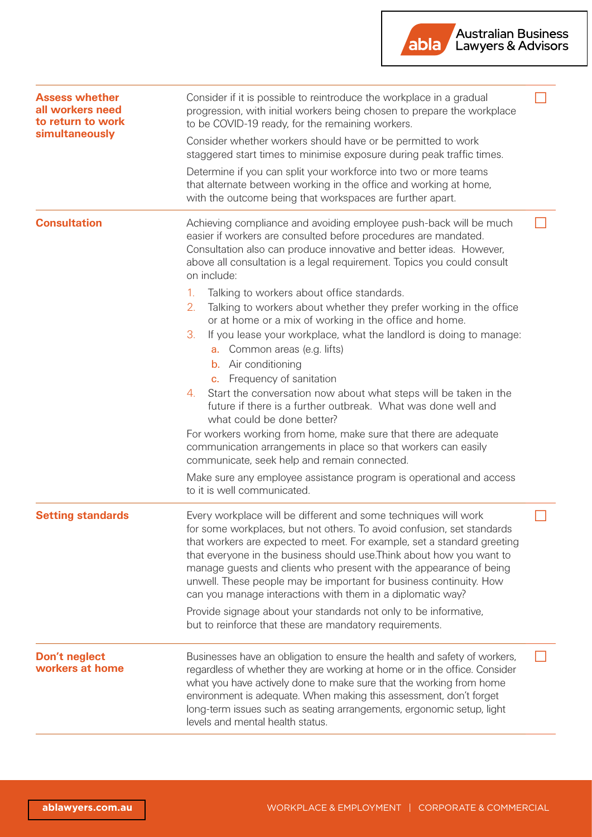

| <b>Assess whether</b><br>all workers need<br>to return to work<br>simultaneously | Consider if it is possible to reintroduce the workplace in a gradual<br>progression, with initial workers being chosen to prepare the workplace<br>to be COVID-19 ready, for the remaining workers.<br>Consider whether workers should have or be permitted to work<br>staggered start times to minimise exposure during peak traffic times.<br>Determine if you can split your workforce into two or more teams<br>that alternate between working in the office and working at home,<br>with the outcome being that workspaces are further apart.                                                                                                                                                                                                                                                                                                                                                                                                                                                                                                                                                                                                       |  |
|----------------------------------------------------------------------------------|----------------------------------------------------------------------------------------------------------------------------------------------------------------------------------------------------------------------------------------------------------------------------------------------------------------------------------------------------------------------------------------------------------------------------------------------------------------------------------------------------------------------------------------------------------------------------------------------------------------------------------------------------------------------------------------------------------------------------------------------------------------------------------------------------------------------------------------------------------------------------------------------------------------------------------------------------------------------------------------------------------------------------------------------------------------------------------------------------------------------------------------------------------|--|
| <b>Consultation</b>                                                              | Achieving compliance and avoiding employee push-back will be much<br>easier if workers are consulted before procedures are mandated.<br>Consultation also can produce innovative and better ideas. However,<br>above all consultation is a legal requirement. Topics you could consult<br>on include:<br>Talking to workers about office standards.<br>1.<br>Talking to workers about whether they prefer working in the office<br>2.<br>or at home or a mix of working in the office and home.<br>If you lease your workplace, what the landlord is doing to manage:<br>3.<br>a. Common areas (e.g. lifts)<br><b>b.</b> Air conditioning<br>Frequency of sanitation<br>$C_{\star}$<br>Start the conversation now about what steps will be taken in the<br>4.<br>future if there is a further outbreak. What was done well and<br>what could be done better?<br>For workers working from home, make sure that there are adequate<br>communication arrangements in place so that workers can easily<br>communicate, seek help and remain connected.<br>Make sure any employee assistance program is operational and access<br>to it is well communicated. |  |
| <b>Setting standards</b>                                                         | Every workplace will be different and some techniques will work<br>for some workplaces, but not others. To avoid confusion, set standards<br>that workers are expected to meet. For example, set a standard greeting<br>that everyone in the business should use. Think about how you want to<br>manage guests and clients who present with the appearance of being<br>unwell. These people may be important for business continuity. How<br>can you manage interactions with them in a diplomatic way?<br>Provide signage about your standards not only to be informative,<br>but to reinforce that these are mandatory requirements.                                                                                                                                                                                                                                                                                                                                                                                                                                                                                                                   |  |
| Don't neglect<br>workers at home                                                 | Businesses have an obligation to ensure the health and safety of workers,<br>regardless of whether they are working at home or in the office. Consider<br>what you have actively done to make sure that the working from home<br>environment is adequate. When making this assessment, don't forget<br>long-term issues such as seating arrangements, ergonomic setup, light<br>levels and mental health status.                                                                                                                                                                                                                                                                                                                                                                                                                                                                                                                                                                                                                                                                                                                                         |  |